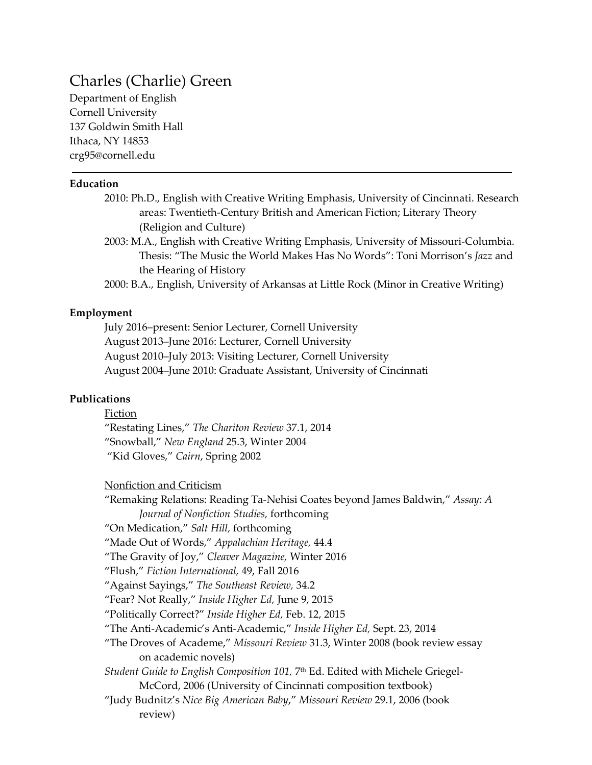# Charles (Charlie) Green

Department of English Cornell University 137 Goldwin Smith Hall Ithaca, NY 14853 crg95@cornell.edu

#### **Education**

- 2010: Ph.D., English with Creative Writing Emphasis, University of Cincinnati. Research areas: Twentieth-Century British and American Fiction; Literary Theory (Religion and Culture)
- 2003: M.A., English with Creative Writing Emphasis, University of Missouri-Columbia. Thesis: "The Music the World Makes Has No Words": Toni Morrison's *Jazz* and the Hearing of History

2000: B.A., English, University of Arkansas at Little Rock (Minor in Creative Writing)

#### **Employment**

July 2016–present: Senior Lecturer, Cornell University August 2013–June 2016: Lecturer, Cornell University August 2010–July 2013: Visiting Lecturer, Cornell University August 2004–June 2010: Graduate Assistant, University of Cincinnati

### **Publications**

Fiction "Restating Lines," *The Chariton Review* 37.1, 2014 "Snowball," *New England* 25.3, Winter 2004 "Kid Gloves," *Cairn*, Spring 2002

Nonfiction and Criticism

"Remaking Relations: Reading Ta-Nehisi Coates beyond James Baldwin," *Assay: A Journal of Nonfiction Studies,* forthcoming "On Medication," *Salt Hill,* forthcoming "Made Out of Words," *Appalachian Heritage,* 44.4 "The Gravity of Joy," *Cleaver Magazine,* Winter 2016 "Flush," *Fiction International,* 49, Fall 2016 "Against Sayings," *The Southeast Review,* 34.2 "Fear? Not Really," *Inside Higher Ed,* June 9, 2015 "Politically Correct?" *Inside Higher Ed,* Feb. 12, 2015 "The Anti-Academic's Anti-Academic," *Inside Higher Ed,* Sept. 23, 2014 "The Droves of Academe," *Missouri Review* 31.3, Winter 2008 (book review essay on academic novels) *Student Guide to English Composition 101,* 7th Ed. Edited with Michele Griegel-McCord, 2006 (University of Cincinnati composition textbook) "Judy Budnitz's *Nice Big American Baby*," *Missouri Review* 29.1, 2006 (book review)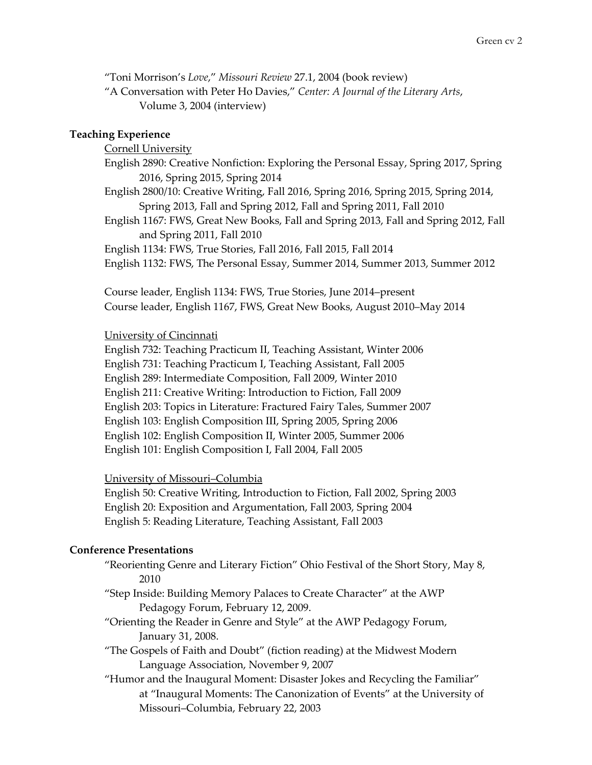"Toni Morrison's *Love*," *Missouri Review* 27.1, 2004 (book review)

"A Conversation with Peter Ho Davies," *Center: A Journal of the Literary Arts*, Volume 3, 2004 (interview)

## **Teaching Experience**

Cornell University

English 2890: Creative Nonfiction: Exploring the Personal Essay, Spring 2017, Spring 2016, Spring 2015, Spring 2014

English 2800/10: Creative Writing, Fall 2016, Spring 2016, Spring 2015, Spring 2014, Spring 2013, Fall and Spring 2012, Fall and Spring 2011, Fall 2010

English 1167: FWS, Great New Books, Fall and Spring 2013, Fall and Spring 2012, Fall and Spring 2011, Fall 2010

English 1134: FWS, True Stories, Fall 2016, Fall 2015, Fall 2014

English 1132: FWS, The Personal Essay, Summer 2014, Summer 2013, Summer 2012

Course leader, English 1134: FWS, True Stories, June 2014–present Course leader, English 1167, FWS, Great New Books, August 2010–May 2014

## University of Cincinnati

English 732: Teaching Practicum II, Teaching Assistant, Winter 2006 English 731: Teaching Practicum I, Teaching Assistant, Fall 2005 English 289: Intermediate Composition, Fall 2009, Winter 2010 English 211: Creative Writing: Introduction to Fiction, Fall 2009 English 203: Topics in Literature: Fractured Fairy Tales, Summer 2007 English 103: English Composition III, Spring 2005, Spring 2006 English 102: English Composition II, Winter 2005, Summer 2006 English 101: English Composition I, Fall 2004, Fall 2005

## University of Missouri–Columbia

English 50: Creative Writing, Introduction to Fiction, Fall 2002, Spring 2003 English 20: Exposition and Argumentation, Fall 2003, Spring 2004 English 5: Reading Literature, Teaching Assistant, Fall 2003

# **Conference Presentations**

"Reorienting Genre and Literary Fiction" Ohio Festival of the Short Story, May 8, 2010

- "Step Inside: Building Memory Palaces to Create Character" at the AWP Pedagogy Forum, February 12, 2009.
- "Orienting the Reader in Genre and Style" at the AWP Pedagogy Forum, January 31, 2008.
- "The Gospels of Faith and Doubt" (fiction reading) at the Midwest Modern Language Association, November 9, 2007
- "Humor and the Inaugural Moment: Disaster Jokes and Recycling the Familiar" at "Inaugural Moments: The Canonization of Events" at the University of Missouri–Columbia, February 22, 2003